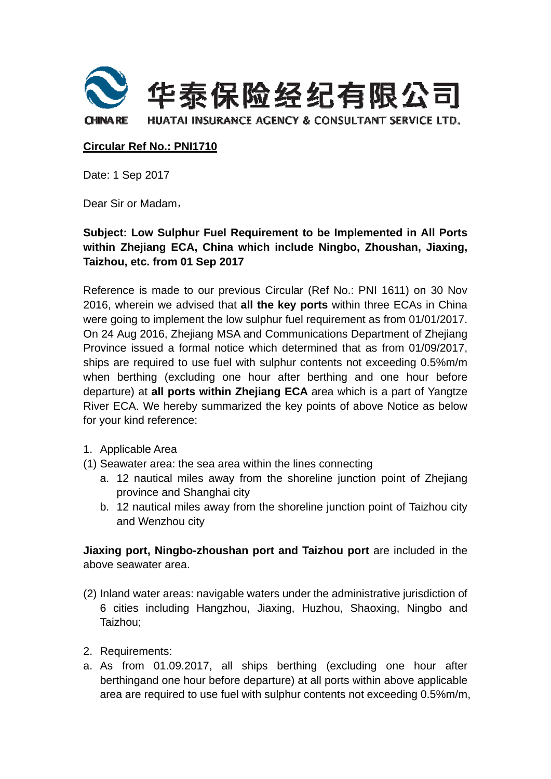

## **Circular Ref No.: PNI1710**

Date: 1 Sep 2017

Dear Sir or Madam,

## Subject: Low Sulphur Fuel Requirement to be Implemented in All Ports within Zhejiang ECA, China which include Ningbo, Zhoushan, Jiaxing, Taizhou, etc. from 01 Sep 2017

Reference is made to our previous Circular (Ref No.: PNI 1611) on 30 Nov 2016, wherein we advised that all the key ports within three ECAs in China were going to implement the low sulphur fuel requirement as from 01/01/2017. On 24 Aug 2016, Zhejiang MSA and Communications Department of Zhejiang Province issued a formal notice which determined that as from 01/09/2017, ships are required to use fuel with sulphur contents not exceeding 0.5%m/m when berthing (excluding one hour after berthing and one hour before departure) at all ports within Zhejiang ECA area which is a part of Yangtze River ECA. We hereby summarized the key points of above Notice as below for your kind reference:

- 1. Applicable Area
- (1) Seawater area: the sea area within the lines connecting
	- a. 12 nautical miles away from the shoreline junction point of Zhejiang province and Shanghai city
	- b. 12 nautical miles away from the shoreline junction point of Taizhou city and Wenzhou city

Jiaxing port, Ningbo-zhoushan port and Taizhou port are included in the above seawater area.

- (2) Inland water areas: navigable waters under the administrative jurisdiction of 6 cities including Hangzhou, Jiaxing, Huzhou, Shaoxing, Ningbo and Taizhou:
- 2. Requirements:
- a. As from 01.09.2017, all ships berthing (excluding one hour after berthing and one hour before departure) at all ports within above applicable area are required to use fuel with sulphur contents not exceeding 0.5%m/m.